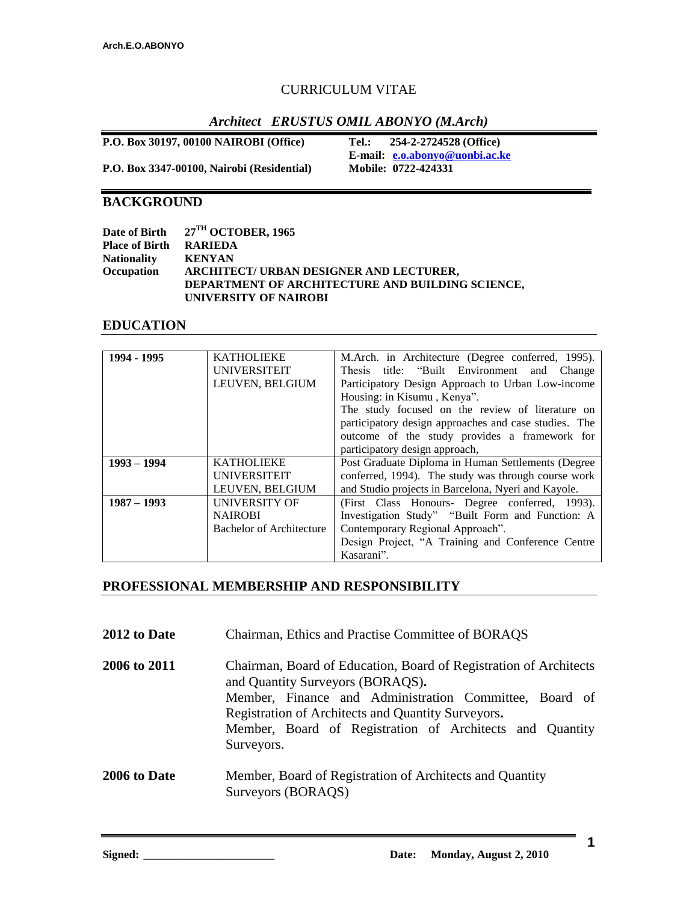## CURRICULUM VITAE

## *Architect ERUSTUS OMIL ABONYO (M.Arch)*

**P.O. Box 30197, 00100 NAIROBI (Office) Tel.: 254-2-2724528 (Office)**

**E-mail: [e.o.abonyo@uonbi.ac.ke](mailto:e.o.abonyo@uonbi.ac.ke)**

**P.O. Box 3347-00100, Nairobi (Residential)** 

## **BACKGROUND**

|                       | Date of Birth 27 <sup>TH</sup> OCTOBER, 1965            |
|-----------------------|---------------------------------------------------------|
| <b>Place of Birth</b> | RARIEDA                                                 |
| <b>Nationality</b>    | <b>KENYAN</b>                                           |
| Occupation            | ARCHITECT/ URBAN DESIGNER AND LECTURER,                 |
|                       | <b>DEPARTMENT OF ARCHITECTURE AND BUILDING SCIENCE,</b> |
|                       | UNIVERSITY OF NAIROBI                                   |

### **EDUCATION**

| 1994 - 1995   | <b>KATHOLIEKE</b>        | M.Arch. in Architecture (Degree conferred, 1995).     |  |
|---------------|--------------------------|-------------------------------------------------------|--|
|               | <b>UNIVERSITEIT</b>      | Thesis title: "Built Environment and Change           |  |
|               | LEUVEN, BELGIUM          | Participatory Design Approach to Urban Low-income     |  |
|               |                          | Housing: in Kisumu, Kenya".                           |  |
|               |                          | The study focused on the review of literature on      |  |
|               |                          | participatory design approaches and case studies. The |  |
|               |                          | outcome of the study provides a framework for         |  |
|               |                          | participatory design approach,                        |  |
| $1993 - 1994$ | <b>KATHOLIEKE</b>        | Post Graduate Diploma in Human Settlements (Degree    |  |
|               | <b>UNIVERSITEIT</b>      | conferred, 1994). The study was through course work   |  |
|               | LEUVEN, BELGIUM          | and Studio projects in Barcelona, Nyeri and Kayole.   |  |
| $1987 - 1993$ | <b>UNIVERSITY OF</b>     | (First Class Honours- Degree conferred, 1993).        |  |
|               | <b>NAIROBI</b>           | Investigation Study" "Built Form and Function: A      |  |
|               | Bachelor of Architecture | Contemporary Regional Approach".                      |  |
|               |                          | Design Project, "A Training and Conference Centre     |  |
|               |                          | Kasarani".                                            |  |

## **PROFESSIONAL MEMBERSHIP AND RESPONSIBILITY**

| 2012 to Date | Chairman, Ethics and Practise Committee of BORAQS                                                                                                                                                                                                                                               |
|--------------|-------------------------------------------------------------------------------------------------------------------------------------------------------------------------------------------------------------------------------------------------------------------------------------------------|
| 2006 to 2011 | Chairman, Board of Education, Board of Registration of Architects<br>and Quantity Surveyors (BORAQS).<br>Member, Finance and Administration Committee, Board of<br>Registration of Architects and Quantity Surveyors.<br>Member, Board of Registration of Architects and Quantity<br>Surveyors. |

## **2006 to Date** Member, Board of Registration of Architects and Quantity Surveyors (BORAQS)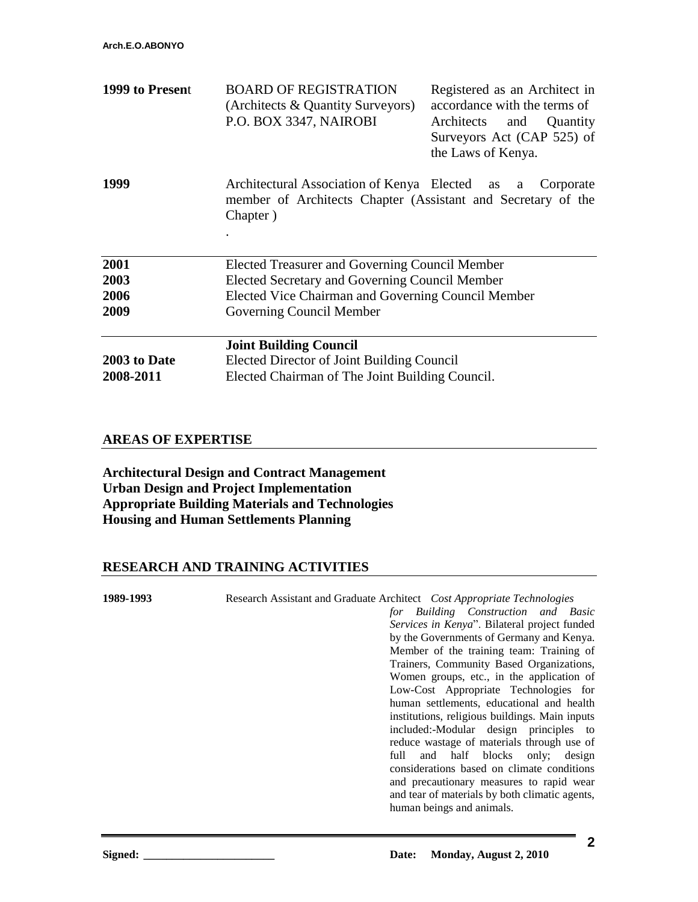| 1999 to Present           | <b>BOARD OF REGISTRATION</b><br>(Architects & Quantity Surveyors)<br>P.O. BOX 3347, NAIROBI                                    | Registered as an Architect in<br>accordance with the terms of<br>Architects and Quantity<br>Surveyors Act (CAP 525) of<br>the Laws of Kenya. |
|---------------------------|--------------------------------------------------------------------------------------------------------------------------------|----------------------------------------------------------------------------------------------------------------------------------------------|
| 1999                      | Architectural Association of Kenya Elected as a<br>member of Architects Chapter (Assistant and Secretary of the<br>Chapter)    | Corporate                                                                                                                                    |
| 2001                      |                                                                                                                                |                                                                                                                                              |
| 2003                      | Elected Treasurer and Governing Council Member<br>Elected Secretary and Governing Council Member                               |                                                                                                                                              |
| 2006                      | Elected Vice Chairman and Governing Council Member                                                                             |                                                                                                                                              |
| 2009                      | Governing Council Member                                                                                                       |                                                                                                                                              |
| 2003 to Date<br>2008-2011 | <b>Joint Building Council</b><br>Elected Director of Joint Building Council<br>Elected Chairman of The Joint Building Council. |                                                                                                                                              |

### **AREAS OF EXPERTISE**

**Architectural Design and Contract Management Urban Design and Project Implementation Appropriate Building Materials and Technologies Housing and Human Settlements Planning**

### **RESEARCH AND TRAINING ACTIVITIES**

**1989-1993** Research Assistant and Graduate Architect *Cost Appropriate Technologies for Building Construction and Basic Services in Kenya*". Bilateral project funded by the Governments of Germany and Kenya. Member of the training team: Training of Trainers, Community Based Organizations, Women groups, etc., in the application of Low-Cost Appropriate Technologies for human settlements, educational and health institutions, religious buildings. Main inputs included:-Modular design principles to reduce wastage of materials through use of full and half blocks only; design considerations based on climate conditions and precautionary measures to rapid wear

human beings and animals.

and tear of materials by both climatic agents,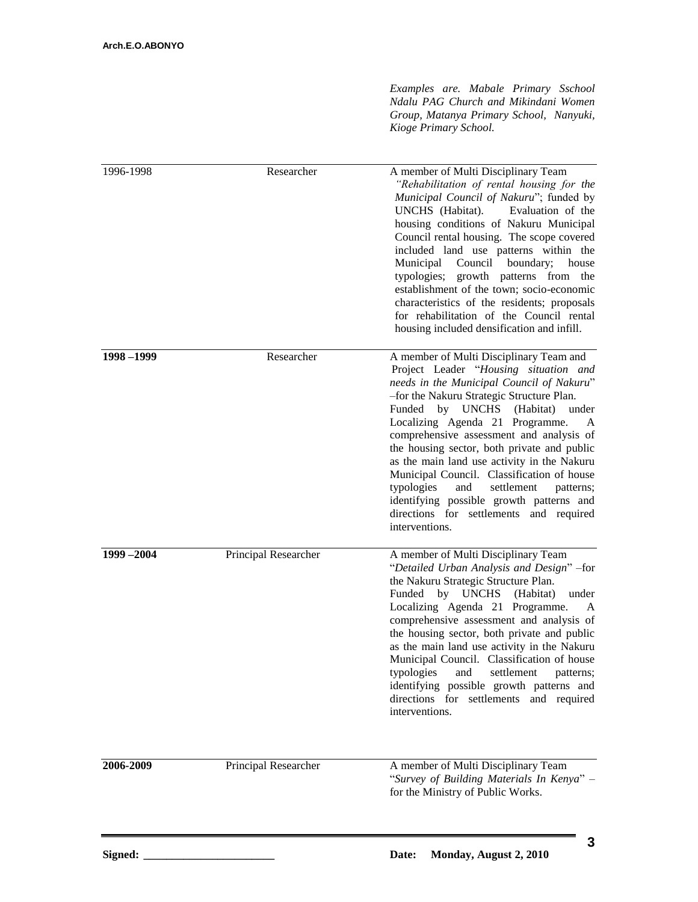*Examples are. Mabale Primary Sschool Ndalu PAG Church and Mikindani Women Group, Matanya Primary School, Nanyuki, Kioge Primary School.*

| 1996-1998 | Researcher           | A member of Multi Disciplinary Team<br>"Rehabilitation of rental housing for the<br>Municipal Council of Nakuru"; funded by<br>Evaluation of the<br>UNCHS (Habitat).<br>housing conditions of Nakuru Municipal<br>Council rental housing. The scope covered<br>included land use patterns within the<br>Municipal<br>Council<br>boundary;<br>house<br>typologies; growth patterns from<br>the<br>establishment of the town; socio-economic<br>characteristics of the residents; proposals<br>for rehabilitation of the Council rental<br>housing included densification and infill.                                       |
|-----------|----------------------|---------------------------------------------------------------------------------------------------------------------------------------------------------------------------------------------------------------------------------------------------------------------------------------------------------------------------------------------------------------------------------------------------------------------------------------------------------------------------------------------------------------------------------------------------------------------------------------------------------------------------|
| 1998-1999 | Researcher           | A member of Multi Disciplinary Team and<br>Project Leader "Housing situation and<br>needs in the Municipal Council of Nakuru"<br>-for the Nakuru Strategic Structure Plan.<br><b>UNCHS</b><br>(Habitat)<br>under<br>Funded<br>by<br>Localizing Agenda 21 Programme.<br>A<br>comprehensive assessment and analysis of<br>the housing sector, both private and public<br>as the main land use activity in the Nakuru<br>Municipal Council. Classification of house<br>typologies<br>and<br>settlement<br>patterns;<br>identifying possible growth patterns and<br>directions for settlements and required<br>interventions. |
| 1999-2004 | Principal Researcher | A member of Multi Disciplinary Team<br>"Detailed Urban Analysis and Design" -for<br>the Nakuru Strategic Structure Plan.<br>Funded<br>by UNCHS<br>(Habitat)<br>under<br>Localizing Agenda 21 Programme.<br>A<br>comprehensive assessment and analysis of<br>the housing sector, both private and public<br>as the main land use activity in the Nakuru<br>Municipal Council. Classification of house<br>typologies and settlement patterns;<br>identifying possible growth patterns and<br>directions for settlements and required<br>interventions.                                                                      |
| 2006-2009 | Principal Researcher | A member of Multi Disciplinary Team<br>"Survey of Building Materials In Kenya" -<br>for the Ministry of Public Works.                                                                                                                                                                                                                                                                                                                                                                                                                                                                                                     |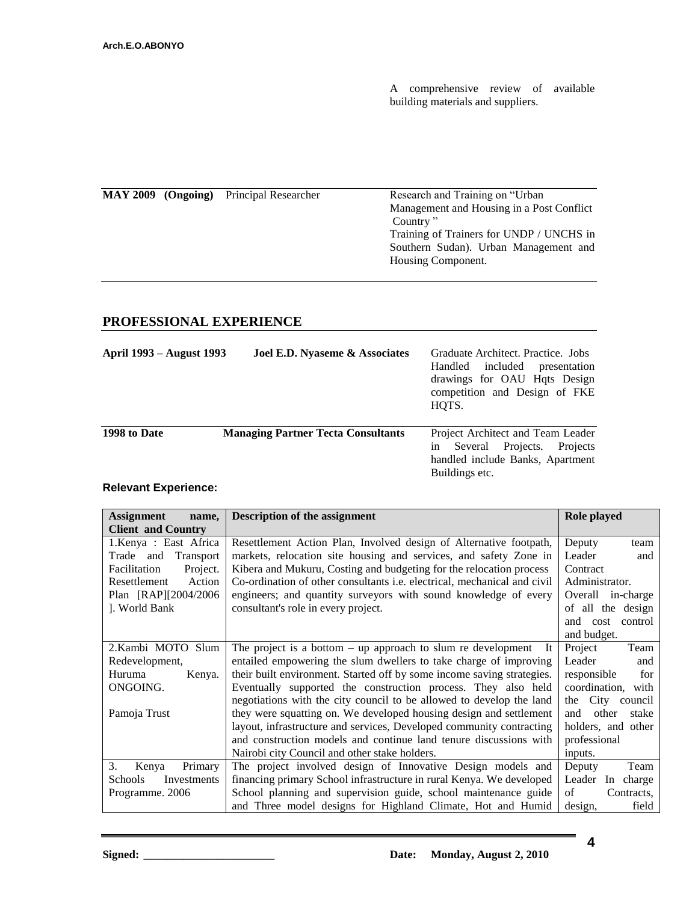A comprehensive review of available building materials and suppliers.

| $MAY 2009$ (Ongoing) | Principal Researcher | Research and Training on "Urban"          |
|----------------------|----------------------|-------------------------------------------|
|                      |                      | Management and Housing in a Post Conflict |
|                      |                      | Country "                                 |
|                      |                      | Training of Trainers for UNDP / UNCHS in  |
|                      |                      | Southern Sudan). Urban Management and     |
|                      |                      | Housing Component.                        |
|                      |                      |                                           |

# **PROFESSIONAL EXPERIENCE**

| April 1993 – August 1993 | Joel E.D. Nyaseme & Associates            | Graduate Architect. Practice. Jobs<br>included<br>Handled<br>presentation<br>drawings for OAU Hqts Design<br>competition and Design of FKE<br>HOTS. |
|--------------------------|-------------------------------------------|-----------------------------------------------------------------------------------------------------------------------------------------------------|
| 1998 to Date             | <b>Managing Partner Tecta Consultants</b> | Project Architect and Team Leader<br>Projects.<br>Several<br>Projects<br>1n<br>handled include Banks, Apartment<br>Buildings etc.                   |

## **Relevant Experience:**

| <b>Assignment</b><br>name,    | Description of the assignment                                            | Role played           |
|-------------------------------|--------------------------------------------------------------------------|-----------------------|
| <b>Client and Country</b>     |                                                                          |                       |
| 1. Kenya : East Africa        | Resettlement Action Plan, Involved design of Alternative footpath,       | Deputy<br>team        |
| Transport<br>Trade and        | markets, relocation site housing and services, and safety Zone in        | Leader<br>and         |
| Facilitation<br>Project.      | Kibera and Mukuru, Costing and budgeting for the relocation process      | Contract              |
| Resettlement<br>Action        | Co-ordination of other consultants i.e. electrical, mechanical and civil | Administrator.        |
| Plan [RAP][2004/2006]         | engineers; and quantity surveyors with sound knowledge of every          | Overall in-charge     |
| J. World Bank                 | consultant's role in every project.                                      | of all the design     |
|                               |                                                                          | and cost<br>control   |
|                               |                                                                          | and budget.           |
| 2. Kambi MOTO<br>Slum         | The project is a bottom $-$ up approach to slum re development<br>-It    | Project<br>Team       |
| Redevelopment,                | entailed empowering the slum dwellers to take charge of improving        | Leader<br>and         |
| Huruma<br>Kenya.              | their built environment. Started off by some income saving strategies.   | responsible<br>for    |
| ONGOING.                      | Eventually supported the construction process. They also held            | coordination, with    |
|                               | negotiations with the city council to be allowed to develop the land     | the City council      |
| Pamoja Trust                  | they were squatting on. We developed housing design and settlement       | other<br>and<br>stake |
|                               | layout, infrastructure and services, Developed community contracting     | holders, and other    |
|                               | and construction models and continue land tenure discussions with        | professional          |
|                               | Nairobi city Council and other stake holders.                            | inputs.               |
| Primary<br>3.<br>Kenya        | The project involved design of Innovative Design models and              | Team<br>Deputy        |
| <b>Schools</b><br>Investments | financing primary School infrastructure in rural Kenya. We developed     | Leader In charge      |
| Programme. 2006               | School planning and supervision guide, school maintenance guide          | of<br>Contracts,      |
|                               | and Three model designs for Highland Climate, Hot and Humid              | design,<br>field      |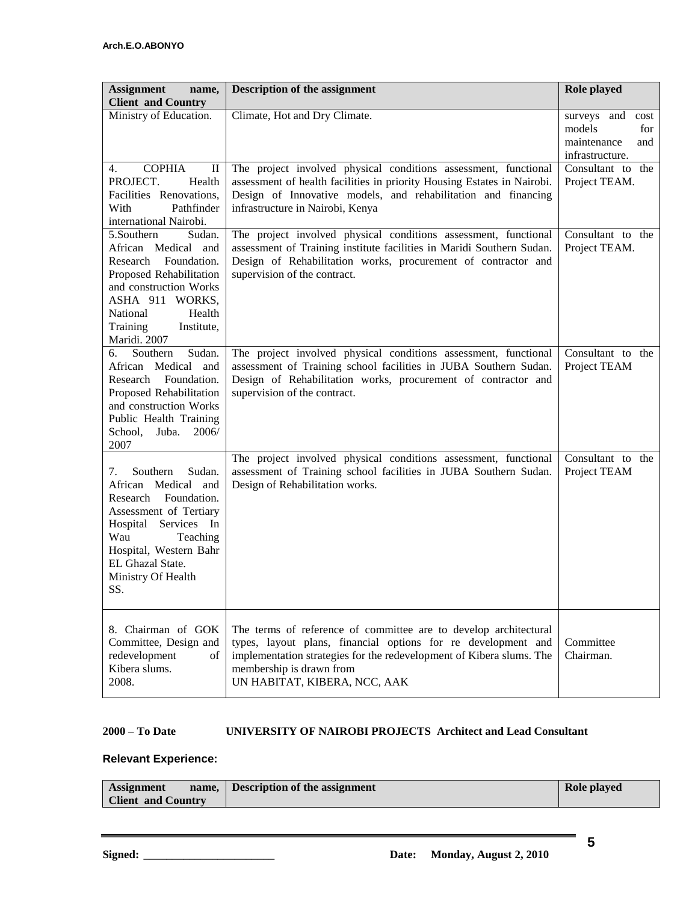| <b>Assignment</b><br>name,<br><b>Client and Country</b>                                                                                                                                                                    | <b>Description of the assignment</b>                                                                                                                                                                                                                                  | Role played                                                                |
|----------------------------------------------------------------------------------------------------------------------------------------------------------------------------------------------------------------------------|-----------------------------------------------------------------------------------------------------------------------------------------------------------------------------------------------------------------------------------------------------------------------|----------------------------------------------------------------------------|
| Ministry of Education.                                                                                                                                                                                                     | Climate, Hot and Dry Climate.                                                                                                                                                                                                                                         | surveys and cost<br>models<br>for<br>maintenance<br>and<br>infrastructure. |
| <b>COPHIA</b><br>4.<br>$\rm _{II}$<br>PROJECT.<br>Health<br>Facilities Renovations,<br>With<br>Pathfinder<br>international Nairobi.                                                                                        | The project involved physical conditions assessment, functional<br>assessment of health facilities in priority Housing Estates in Nairobi.<br>Design of Innovative models, and rehabilitation and financing<br>infrastructure in Nairobi, Kenya                       | Consultant to the<br>Project TEAM.                                         |
| 5.Southern<br>Sudan.<br>African Medical<br>and<br>Research Foundation.<br>Proposed Rehabilitation<br>and construction Works<br>ASHA 911 WORKS,<br>National<br>Health<br>Training<br>Institute,<br>Maridi. 2007             | The project involved physical conditions assessment, functional<br>assessment of Training institute facilities in Maridi Southern Sudan.<br>Design of Rehabilitation works, procurement of contractor and<br>supervision of the contract.                             | Consultant to the<br>Project TEAM.                                         |
| Sudan.<br>Southern<br>6.<br>African Medical<br>and<br>Foundation.<br>Research<br>Proposed Rehabilitation<br>and construction Works<br>Public Health Training<br>School, Juba.<br>2006/<br>2007                             | The project involved physical conditions assessment, functional<br>assessment of Training school facilities in JUBA Southern Sudan.<br>Design of Rehabilitation works, procurement of contractor and<br>supervision of the contract.                                  | Consultant to the<br>Project TEAM                                          |
| Southern<br>Sudan.<br>7.<br>African Medical and<br>Research Foundation.<br>Assessment of Tertiary<br>Hospital<br>Services In<br>Wau<br>Teaching<br>Hospital, Western Bahr<br>EL Ghazal State.<br>Ministry Of Health<br>SS. | The project involved physical conditions assessment, functional<br>assessment of Training school facilities in JUBA Southern Sudan.<br>Design of Rehabilitation works.                                                                                                | Consultant to the<br>Project TEAM                                          |
| 8. Chairman of GOK<br>Committee, Design and<br>redevelopment<br>οf<br>Kibera slums.<br>2008.                                                                                                                               | The terms of reference of committee are to develop architectural<br>types, layout plans, financial options for re development and<br>implementation strategies for the redevelopment of Kibera slums. The<br>membership is drawn from<br>UN HABITAT, KIBERA, NCC, AAK | Committee<br>Chairman.                                                     |

#### **2000 – To Date UNIVERSITY OF NAIROBI PROJECTS Architect and Lead Consultant**

### **Relevant Experience:**

| <b>Assignment</b>         | name, Description of the assignment | Role played |
|---------------------------|-------------------------------------|-------------|
| <b>Client and Country</b> |                                     |             |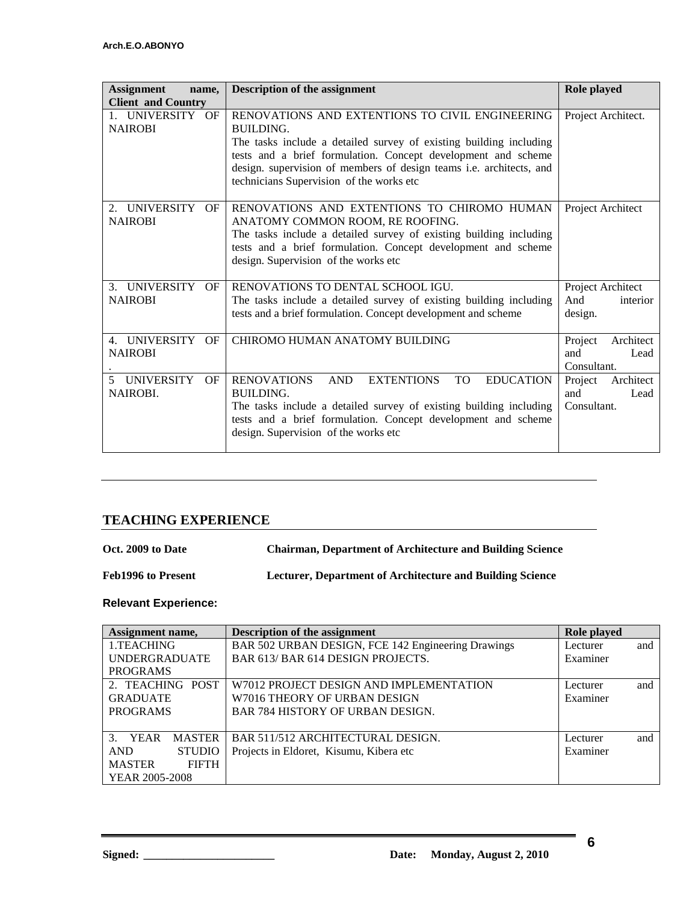| <b>Assignment</b><br>name.<br><b>Client and Country</b>          |    | <b>Description of the assignment</b>                                                                                                                                                                                                                                                                                   | Role played                                        |
|------------------------------------------------------------------|----|------------------------------------------------------------------------------------------------------------------------------------------------------------------------------------------------------------------------------------------------------------------------------------------------------------------------|----------------------------------------------------|
| 1. UNIVERSITY OF<br><b>NAIROBI</b>                               |    | RENOVATIONS AND EXTENTIONS TO CIVIL ENGINEERING<br>BUILDING.<br>The tasks include a detailed survey of existing building including<br>tests and a brief formulation. Concept development and scheme<br>design. supervision of members of design teams i.e. architects, and<br>technicians Supervision of the works etc | Project Architect.                                 |
| UNIVERSITY OF<br>$2^{\circ}$<br><b>NAIROBI</b>                   |    | RENOVATIONS AND EXTENTIONS TO CHIROMO HUMAN<br>ANATOMY COMMON ROOM, RE ROOFING.<br>The tasks include a detailed survey of existing building including<br>tests and a brief formulation. Concept development and scheme<br>design. Supervision of the works etc                                                         | Project Architect                                  |
| 3. UNIVERSITY OF<br><b>NAIROBI</b>                               |    | RENOVATIONS TO DENTAL SCHOOL IGU.<br>The tasks include a detailed survey of existing building including<br>tests and a brief formulation. Concept development and scheme                                                                                                                                               | Project Architect<br>And<br>interior<br>design.    |
| 4. UNIVERSITY<br><b>NAIROBI</b>                                  | OF | CHIROMO HUMAN ANATOMY BUILDING                                                                                                                                                                                                                                                                                         | Project<br>Architect<br>and<br>Lead<br>Consultant. |
| <b>UNIVERSITY</b><br>$\overline{\mathcal{L}}$<br><b>NAIROBI.</b> | OF | <b>RENOVATIONS</b><br><b>AND</b><br><b>EXTENTIONS</b><br><b>TO</b><br><b>EDUCATION</b><br>BUILDING.<br>The tasks include a detailed survey of existing building including<br>tests and a brief formulation. Concept development and scheme<br>design. Supervision of the works etc                                     | Project<br>Architect<br>and<br>Lead<br>Consultant. |

## **TEACHING EXPERIENCE**

| Oct. 2009 to Date         | <b>Chairman, Department of Architecture and Building Science</b> |
|---------------------------|------------------------------------------------------------------|
| <b>Feb1996 to Present</b> | Lecturer, Department of Architecture and Building Science        |

## **Relevant Experience:**

| Assignment name,                       | <b>Description of the assignment</b>               | Role played |     |
|----------------------------------------|----------------------------------------------------|-------------|-----|
| 1.TEACHING                             | BAR 502 URBAN DESIGN, FCE 142 Engineering Drawings | Lecturer    | and |
| <b>UNDERGRADUATE</b>                   | BAR 613/ BAR 614 DESIGN PROJECTS.                  | Examiner    |     |
| <b>PROGRAMS</b>                        |                                                    |             |     |
| 2. TEACHING POST                       | W7012 PROJECT DESIGN AND IMPLEMENTATION            | Lecturer    | and |
| <b>GRADUATE</b>                        | W7016 THEORY OF URBAN DESIGN                       | Examiner    |     |
| <b>PROGRAMS</b>                        | <b>BAR 784 HISTORY OF URBAN DESIGN.</b>            |             |     |
|                                        |                                                    |             |     |
| $\mathcal{R}$<br>YEAR<br><b>MASTER</b> | BAR 511/512 ARCHITECTURAL DESIGN.                  | Lecturer    | and |
| <b>STUDIO</b><br><b>AND</b>            | Projects in Eldoret, Kisumu, Kibera etc            | Examiner    |     |
| <b>MASTER</b><br><b>FIFTH</b>          |                                                    |             |     |
| YEAR 2005-2008                         |                                                    |             |     |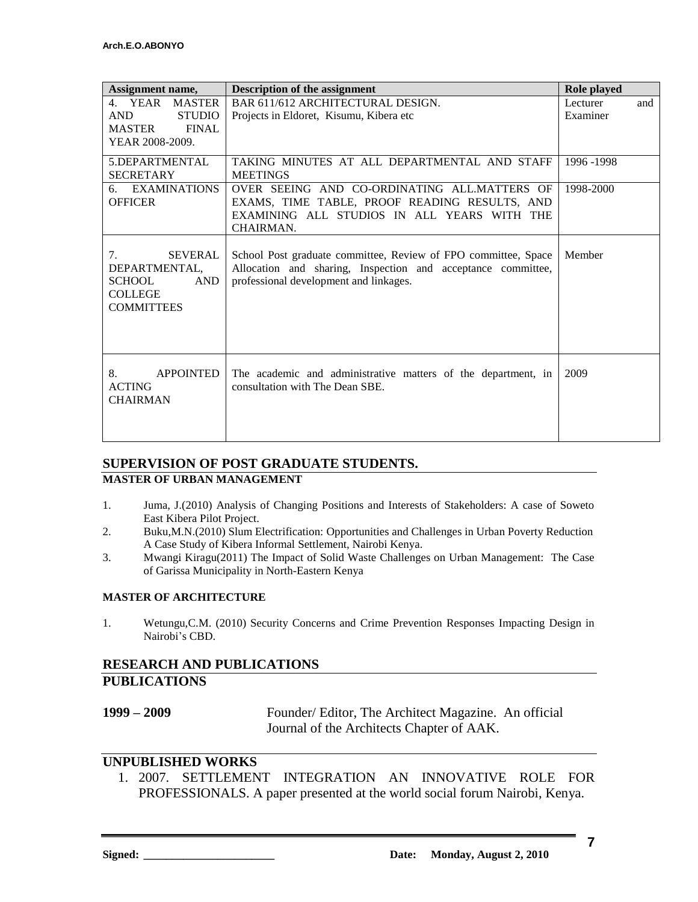| Assignment name,                                                                                            | <b>Description of the assignment</b>                                                                                                                                     | Role played     |
|-------------------------------------------------------------------------------------------------------------|--------------------------------------------------------------------------------------------------------------------------------------------------------------------------|-----------------|
| 4. YEAR MASTER                                                                                              | BAR 611/612 ARCHITECTURAL DESIGN.                                                                                                                                        | Lecturer<br>and |
| <b>AND</b><br><b>STUDIO</b>                                                                                 | Projects in Eldoret, Kisumu, Kibera etc.                                                                                                                                 | Examiner        |
| <b>FINAL</b><br><b>MASTER</b>                                                                               |                                                                                                                                                                          |                 |
| YEAR 2008-2009.                                                                                             |                                                                                                                                                                          |                 |
| 5.DEPARTMENTAL                                                                                              | TAKING MINUTES AT ALL DEPARTMENTAL AND STAFF                                                                                                                             | 1996-1998       |
| <b>SECRETARY</b>                                                                                            | <b>MEETINGS</b>                                                                                                                                                          |                 |
| <b>EXAMINATIONS</b><br>б.                                                                                   | OVER SEEING AND CO-ORDINATING ALL.MATTERS OF                                                                                                                             | 1998-2000       |
| <b>OFFICER</b>                                                                                              | EXAMS, TIME TABLE, PROOF READING RESULTS, AND                                                                                                                            |                 |
|                                                                                                             | EXAMINING ALL STUDIOS IN ALL YEARS WITH THE<br>CHAIRMAN.                                                                                                                 |                 |
|                                                                                                             |                                                                                                                                                                          |                 |
| <b>SEVERAL</b><br>7.<br>DEPARTMENTAL.<br><b>SCHOOL</b><br><b>AND</b><br><b>COLLEGE</b><br><b>COMMITTEES</b> | School Post graduate committee, Review of FPO committee, Space<br>Allocation and sharing, Inspection and acceptance committee,<br>professional development and linkages. | Member          |
|                                                                                                             |                                                                                                                                                                          |                 |
| 8.<br><b>APPOINTED</b><br><b>ACTING</b><br><b>CHAIRMAN</b>                                                  | The academic and administrative matters of the department, in<br>consultation with The Dean SBE.                                                                         | 2009            |
|                                                                                                             |                                                                                                                                                                          |                 |

## **SUPERVISION OF POST GRADUATE STUDENTS.**

### **MASTER OF URBAN MANAGEMENT**

- 1. Juma, J.(2010) Analysis of Changing Positions and Interests of Stakeholders: A case of Soweto East Kibera Pilot Project.
- 2. Buku,M.N.(2010) Slum Electrification: Opportunities and Challenges in Urban Poverty Reduction A Case Study of Kibera Informal Settlement, Nairobi Kenya.
- 3. Mwangi Kiragu(2011) The Impact of Solid Waste Challenges on Urban Management: The Case of Garissa Municipality in North-Eastern Kenya

#### **MASTER OF ARCHITECTURE**

1. Wetungu,C.M. (2010) Security Concerns and Crime Prevention Responses Impacting Design in Nairobi's CBD.

### **RESEARCH AND PUBLICATIONS PUBLICATIONS**

**1999 – 2009** Founder/ Editor, The Architect Magazine. An official Journal of the Architects Chapter of AAK.

### **UNPUBLISHED WORKS**

1. 2007. SETTLEMENT INTEGRATION AN INNOVATIVE ROLE FOR PROFESSIONALS. A paper presented at the world social forum Nairobi, Kenya.